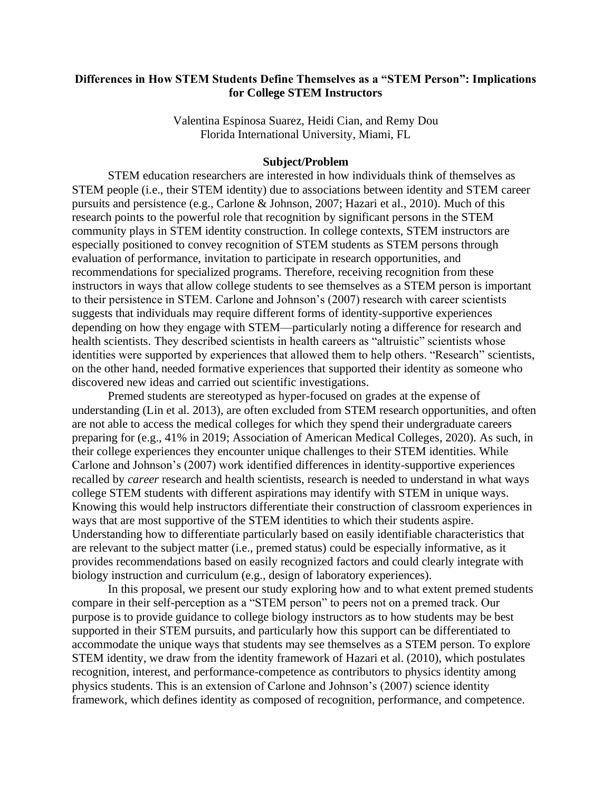# **Differences in How STEM Students Define Themselves as a "STEM Person": Implications for College STEM Instructors**

Valentina Espinosa Suarez, Heidi Cian, and Remy Dou Florida International University, Miami, FL

### **Subject/Problem**

STEM education researchers are interested in how individuals think of themselves as STEM people (i.e., their STEM identity) due to associations between identity and STEM career pursuits and persistence (e.g., Carlone & Johnson, 2007; Hazari et al., 2010). Much of this research points to the powerful role that recognition by significant persons in the STEM community plays in STEM identity construction. In college contexts, STEM instructors are especially positioned to convey recognition of STEM students as STEM persons through evaluation of performance, invitation to participate in research opportunities, and recommendations for specialized programs. Therefore, receiving recognition from these instructors in ways that allow college students to see themselves as a STEM person is important to their persistence in STEM. Carlone and Johnson's (2007) research with career scientists suggests that individuals may require different forms of identity-supportive experiences depending on how they engage with STEM—particularly noting a difference for research and health scientists. They described scientists in health careers as "altruistic" scientists whose identities were supported by experiences that allowed them to help others. "Research" scientists, on the other hand, needed formative experiences that supported their identity as someone who discovered new ideas and carried out scientific investigations.

Premed students are stereotyped as hyper-focused on grades at the expense of understanding (Lin et al. 2013), are often excluded from STEM research opportunities, and often are not able to access the medical colleges for which they spend their undergraduate careers preparing for (e.g., 41% in 2019; Association of American Medical Colleges, 2020). As such, in their college experiences they encounter unique challenges to their STEM identities. While Carlone and Johnson's (2007) work identified differences in identity-supportive experiences recalled by *career* research and health scientists, research is needed to understand in what ways college STEM students with different aspirations may identify with STEM in unique ways. Knowing this would help instructors differentiate their construction of classroom experiences in ways that are most supportive of the STEM identities to which their students aspire. Understanding how to differentiate particularly based on easily identifiable characteristics that are relevant to the subject matter (i.e., premed status) could be especially informative, as it provides recommendations based on easily recognized factors and could clearly integrate with biology instruction and curriculum (e.g., design of laboratory experiences).

In this proposal, we present our study exploring how and to what extent premed students compare in their self-perception as a "STEM person" to peers not on a premed track. Our purpose is to provide guidance to college biology instructors as to how students may be best supported in their STEM pursuits, and particularly how this support can be differentiated to accommodate the unique ways that students may see themselves as a STEM person. To explore STEM identity, we draw from the identity framework of Hazari et al. (2010), which postulates recognition, interest, and performance-competence as contributors to physics identity among physics students. This is an extension of Carlone and Johnson's (2007) science identity framework, which defines identity as composed of recognition, performance, and competence.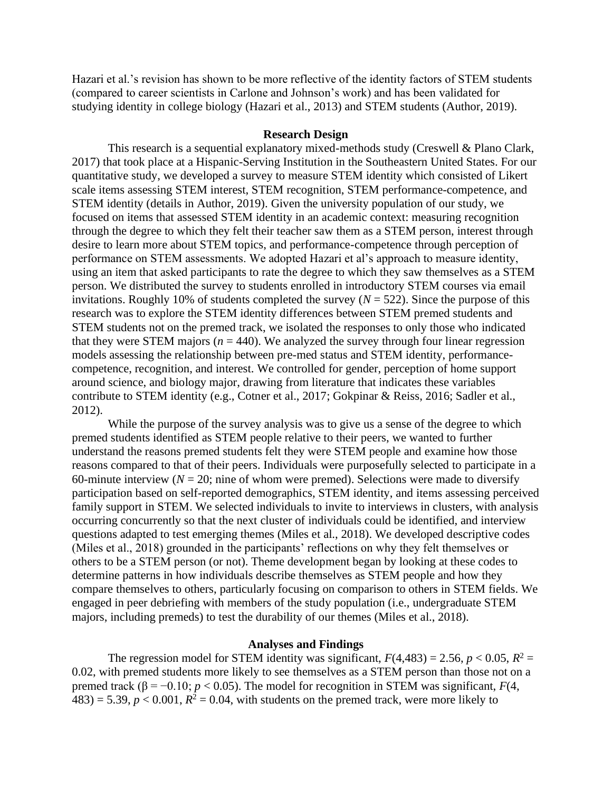Hazari et al.'s revision has shown to be more reflective of the identity factors of STEM students (compared to career scientists in Carlone and Johnson's work) and has been validated for studying identity in college biology (Hazari et al., 2013) and STEM students (Author, 2019).

### **Research Design**

This research is a sequential explanatory mixed-methods study (Creswell & Plano Clark, 2017) that took place at a Hispanic-Serving Institution in the Southeastern United States. For our quantitative study, we developed a survey to measure STEM identity which consisted of Likert scale items assessing STEM interest, STEM recognition, STEM performance-competence, and STEM identity (details in Author, 2019). Given the university population of our study, we focused on items that assessed STEM identity in an academic context: measuring recognition through the degree to which they felt their teacher saw them as a STEM person, interest through desire to learn more about STEM topics, and performance-competence through perception of performance on STEM assessments. We adopted Hazari et al's approach to measure identity, using an item that asked participants to rate the degree to which they saw themselves as a STEM person. We distributed the survey to students enrolled in introductory STEM courses via email invitations. Roughly 10% of students completed the survey  $(N = 522)$ . Since the purpose of this research was to explore the STEM identity differences between STEM premed students and STEM students not on the premed track, we isolated the responses to only those who indicated that they were STEM majors ( $n = 440$ ). We analyzed the survey through four linear regression models assessing the relationship between pre-med status and STEM identity, performancecompetence, recognition, and interest. We controlled for gender, perception of home support around science, and biology major, drawing from literature that indicates these variables contribute to STEM identity (e.g., Cotner et al., 2017; Gokpinar & Reiss, 2016; Sadler et al., 2012).

While the purpose of the survey analysis was to give us a sense of the degree to which premed students identified as STEM people relative to their peers, we wanted to further understand the reasons premed students felt they were STEM people and examine how those reasons compared to that of their peers. Individuals were purposefully selected to participate in a 60-minute interview ( $N = 20$ ; nine of whom were premed). Selections were made to diversify participation based on self-reported demographics, STEM identity, and items assessing perceived family support in STEM. We selected individuals to invite to interviews in clusters, with analysis occurring concurrently so that the next cluster of individuals could be identified, and interview questions adapted to test emerging themes (Miles et al., 2018). We developed descriptive codes (Miles et al., 2018) grounded in the participants' reflections on why they felt themselves or others to be a STEM person (or not). Theme development began by looking at these codes to determine patterns in how individuals describe themselves as STEM people and how they compare themselves to others, particularly focusing on comparison to others in STEM fields. We engaged in peer debriefing with members of the study population (i.e., undergraduate STEM majors, including premeds) to test the durability of our themes (Miles et al., 2018).

## **Analyses and Findings**

The regression model for STEM identity was significant,  $F(4,483) = 2.56$ ,  $p < 0.05$ ,  $R^2 =$ 0.02, with premed students more likely to see themselves as a STEM person than those not on a premed track ( $\beta = -0.10$ ; *p* < 0.05). The model for recognition in STEM was significant, *F*(4,  $483$ ) = 5.39,  $p < 0.001$ ,  $R^2 = 0.04$ , with students on the premed track, were more likely to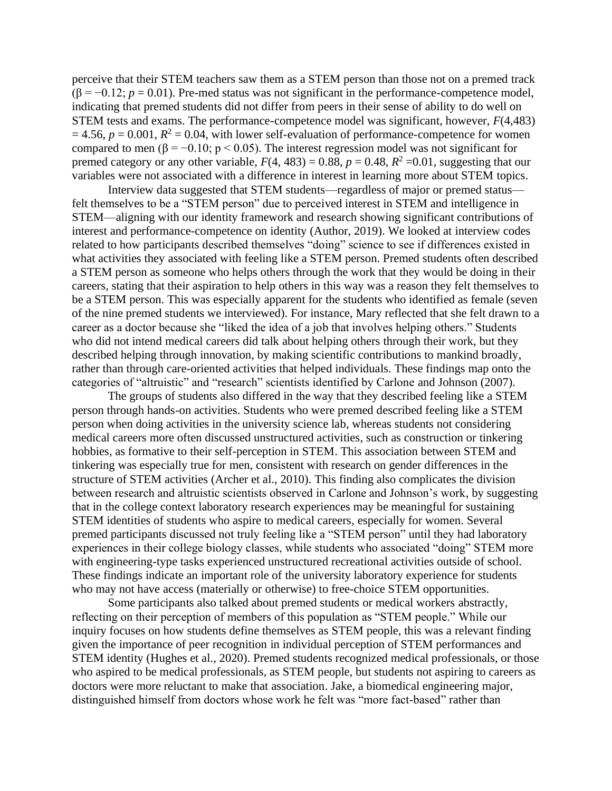perceive that their STEM teachers saw them as a STEM person than those not on a premed track  $(\beta = -0.12; p = 0.01)$ . Pre-med status was not significant in the performance-competence model, indicating that premed students did not differ from peers in their sense of ability to do well on STEM tests and exams. The performance-competence model was significant, however, *F*(4,483)  $= 4.56$ ,  $p = 0.001$ ,  $R^2 = 0.04$ , with lower self-evaluation of performance-competence for women compared to men (β = -0.10; p < 0.05). The interest regression model was not significant for premed category or any other variable,  $F(4, 483) = 0.88$ ,  $p = 0.48$ ,  $R^2 = 0.01$ , suggesting that our variables were not associated with a difference in interest in learning more about STEM topics.

Interview data suggested that STEM students—regardless of major or premed status felt themselves to be a "STEM person" due to perceived interest in STEM and intelligence in STEM—aligning with our identity framework and research showing significant contributions of interest and performance-competence on identity (Author, 2019). We looked at interview codes related to how participants described themselves "doing" science to see if differences existed in what activities they associated with feeling like a STEM person. Premed students often described a STEM person as someone who helps others through the work that they would be doing in their careers, stating that their aspiration to help others in this way was a reason they felt themselves to be a STEM person. This was especially apparent for the students who identified as female (seven of the nine premed students we interviewed). For instance, Mary reflected that she felt drawn to a career as a doctor because she "liked the idea of a job that involves helping others." Students who did not intend medical careers did talk about helping others through their work, but they described helping through innovation, by making scientific contributions to mankind broadly, rather than through care-oriented activities that helped individuals. These findings map onto the categories of "altruistic" and "research" scientists identified by Carlone and Johnson (2007).

The groups of students also differed in the way that they described feeling like a STEM person through hands-on activities. Students who were premed described feeling like a STEM person when doing activities in the university science lab, whereas students not considering medical careers more often discussed unstructured activities, such as construction or tinkering hobbies, as formative to their self-perception in STEM. This association between STEM and tinkering was especially true for men, consistent with research on gender differences in the structure of STEM activities (Archer et al., 2010). This finding also complicates the division between research and altruistic scientists observed in Carlone and Johnson's work, by suggesting that in the college context laboratory research experiences may be meaningful for sustaining STEM identities of students who aspire to medical careers, especially for women. Several premed participants discussed not truly feeling like a "STEM person" until they had laboratory experiences in their college biology classes, while students who associated "doing" STEM more with engineering-type tasks experienced unstructured recreational activities outside of school. These findings indicate an important role of the university laboratory experience for students who may not have access (materially or otherwise) to free-choice STEM opportunities.

Some participants also talked about premed students or medical workers abstractly, reflecting on their perception of members of this population as "STEM people." While our inquiry focuses on how students define themselves as STEM people, this was a relevant finding given the importance of peer recognition in individual perception of STEM performances and STEM identity (Hughes et al., 2020). Premed students recognized medical professionals, or those who aspired to be medical professionals, as STEM people, but students not aspiring to careers as doctors were more reluctant to make that association. Jake, a biomedical engineering major, distinguished himself from doctors whose work he felt was "more fact-based" rather than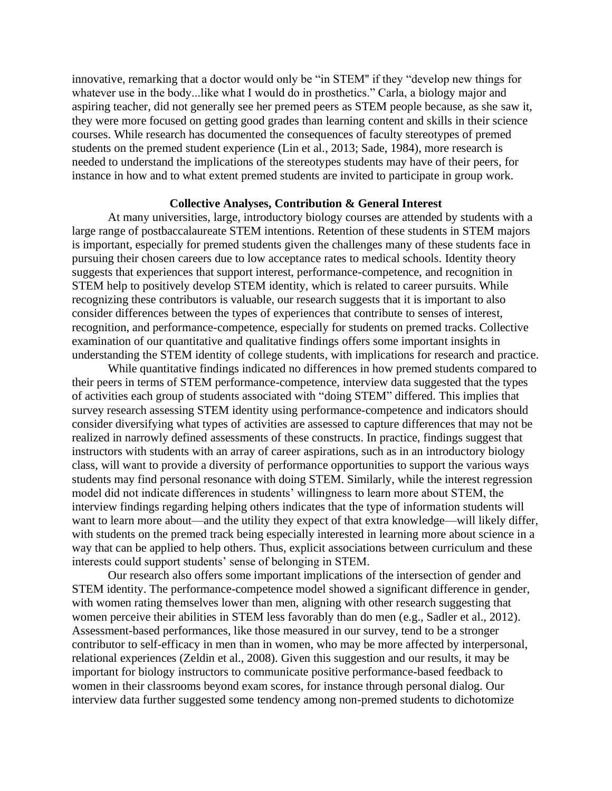innovative, remarking that a doctor would only be "in STEM'' if they "develop new things for whatever use in the body...like what I would do in prosthetics." Carla, a biology major and aspiring teacher, did not generally see her premed peers as STEM people because, as she saw it, they were more focused on getting good grades than learning content and skills in their science courses. While research has documented the consequences of faculty stereotypes of premed students on the premed student experience (Lin et al., 2013; Sade, 1984), more research is needed to understand the implications of the stereotypes students may have of their peers, for instance in how and to what extent premed students are invited to participate in group work.

### **Collective Analyses, Contribution & General Interest**

At many universities, large, introductory biology courses are attended by students with a large range of postbaccalaureate STEM intentions. Retention of these students in STEM majors is important, especially for premed students given the challenges many of these students face in pursuing their chosen careers due to low acceptance rates to medical schools. Identity theory suggests that experiences that support interest, performance-competence, and recognition in STEM help to positively develop STEM identity, which is related to career pursuits. While recognizing these contributors is valuable, our research suggests that it is important to also consider differences between the types of experiences that contribute to senses of interest, recognition, and performance-competence, especially for students on premed tracks. Collective examination of our quantitative and qualitative findings offers some important insights in understanding the STEM identity of college students, with implications for research and practice.

While quantitative findings indicated no differences in how premed students compared to their peers in terms of STEM performance-competence, interview data suggested that the types of activities each group of students associated with "doing STEM" differed. This implies that survey research assessing STEM identity using performance-competence and indicators should consider diversifying what types of activities are assessed to capture differences that may not be realized in narrowly defined assessments of these constructs. In practice, findings suggest that instructors with students with an array of career aspirations, such as in an introductory biology class, will want to provide a diversity of performance opportunities to support the various ways students may find personal resonance with doing STEM. Similarly, while the interest regression model did not indicate differences in students' willingness to learn more about STEM, the interview findings regarding helping others indicates that the type of information students will want to learn more about—and the utility they expect of that extra knowledge—will likely differ, with students on the premed track being especially interested in learning more about science in a way that can be applied to help others. Thus, explicit associations between curriculum and these interests could support students' sense of belonging in STEM.

Our research also offers some important implications of the intersection of gender and STEM identity. The performance-competence model showed a significant difference in gender, with women rating themselves lower than men, aligning with other research suggesting that women perceive their abilities in STEM less favorably than do men (e.g., Sadler et al., 2012). Assessment-based performances, like those measured in our survey, tend to be a stronger contributor to self-efficacy in men than in women, who may be more affected by interpersonal, relational experiences (Zeldin et al., 2008). Given this suggestion and our results, it may be important for biology instructors to communicate positive performance-based feedback to women in their classrooms beyond exam scores, for instance through personal dialog. Our interview data further suggested some tendency among non-premed students to dichotomize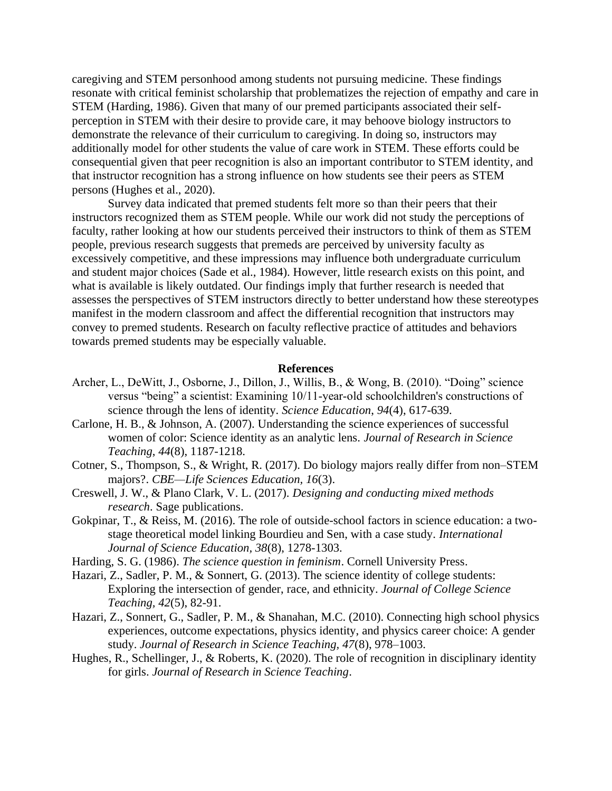caregiving and STEM personhood among students not pursuing medicine. These findings resonate with critical feminist scholarship that problematizes the rejection of empathy and care in STEM (Harding, 1986). Given that many of our premed participants associated their selfperception in STEM with their desire to provide care, it may behoove biology instructors to demonstrate the relevance of their curriculum to caregiving. In doing so, instructors may additionally model for other students the value of care work in STEM. These efforts could be consequential given that peer recognition is also an important contributor to STEM identity, and that instructor recognition has a strong influence on how students see their peers as STEM persons (Hughes et al., 2020).

Survey data indicated that premed students felt more so than their peers that their instructors recognized them as STEM people. While our work did not study the perceptions of faculty, rather looking at how our students perceived their instructors to think of them as STEM people, previous research suggests that premeds are perceived by university faculty as excessively competitive, and these impressions may influence both undergraduate curriculum and student major choices (Sade et al., 1984). However, little research exists on this point, and what is available is likely outdated. Our findings imply that further research is needed that assesses the perspectives of STEM instructors directly to better understand how these stereotypes manifest in the modern classroom and affect the differential recognition that instructors may convey to premed students. Research on faculty reflective practice of attitudes and behaviors towards premed students may be especially valuable.

#### **References**

- Archer, L., DeWitt, J., Osborne, J., Dillon, J., Willis, B., & Wong, B. (2010). "Doing" science versus "being" a scientist: Examining 10/11-year-old schoolchildren's constructions of science through the lens of identity. *Science Education*, *94*(4), 617-639.
- Carlone, H. B., & Johnson, A. (2007). Understanding the science experiences of successful women of color: Science identity as an analytic lens. *Journal of Research in Science Teaching*, *44*(8), 1187-1218.
- Cotner, S., Thompson, S., & Wright, R. (2017). Do biology majors really differ from non–STEM majors?. *CBE—Life Sciences Education, 16*(3).
- Creswell, J. W., & Plano Clark, V. L. (2017). *Designing and conducting mixed methods research*. Sage publications.
- Gokpinar, T., & Reiss, M. (2016). The role of outside-school factors in science education: a twostage theoretical model linking Bourdieu and Sen, with a case study. *International Journal of Science Education, 38*(8), 1278-1303.
- Harding, S. G. (1986). *The science question in feminism*. Cornell University Press.
- Hazari, Z., Sadler, P. M., & Sonnert, G. (2013). The science identity of college students: Exploring the intersection of gender, race, and ethnicity. *Journal of College Science Teaching, 42*(5), 82-91.
- Hazari, Z., Sonnert, G., Sadler, P. M., & Shanahan, M.C. (2010). Connecting high school physics experiences, outcome expectations, physics identity, and physics career choice: A gender study. *Journal of Research in Science Teaching, 47*(8), 978–1003.
- Hughes, R., Schellinger, J., & Roberts, K. (2020). The role of recognition in disciplinary identity for girls. *Journal of Research in Science Teaching*.